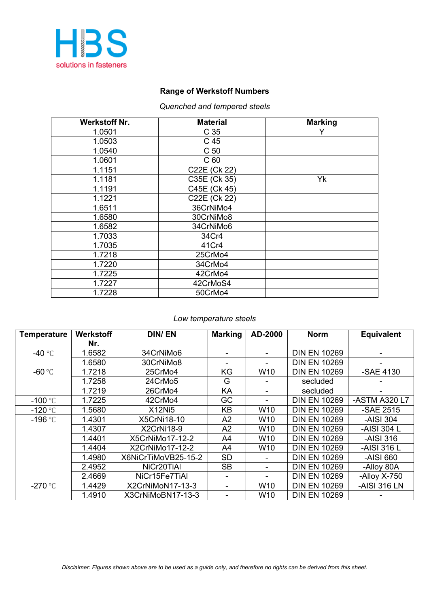

### **Range of Werkstoff Numbers**

### *Quenched and tempered steels*

| <b>Werkstoff Nr.</b> | <b>Material</b> | <b>Marking</b> |
|----------------------|-----------------|----------------|
| 1.0501               | C <sub>35</sub> |                |
| 1.0503               | C 45            |                |
| 1.0540               | C <sub>50</sub> |                |
| 1.0601               | C <sub>60</sub> |                |
| 1.1151               | C22E (Ck 22)    |                |
| 1.1181               | C35E (Ck 35)    | Yk             |
| 1.1191               | C45E (Ck 45)    |                |
| 1.1221               | C22E (Ck 22)    |                |
| 1.6511               | 36CrNiMo4       |                |
| 1.6580               | 30CrNiMo8       |                |
| 1.6582               | 34CrNiMo6       |                |
| 1.7033               | 34Cr4           |                |
| 1.7035               | 41Cr4           |                |
| 1.7218               | 25CrMo4         |                |
| 1.7220               | 34CrMo4         |                |
| 1.7225               | 42CrMo4         |                |
| 1.7227               | 42CrMoS4        |                |
| 1.7228               | 50CrMo4         |                |

#### *Low temperature steels*

| <b>Temperature</b> | <b>Werkstoff</b> | <b>DIN/EN</b>       | <b>Marking</b> | AD-2000         | <b>Norm</b>         | <b>Equivalent</b> |
|--------------------|------------------|---------------------|----------------|-----------------|---------------------|-------------------|
|                    | Nr.              |                     |                |                 |                     |                   |
| -40 $\degree$ C    | 1.6582           | 34CrNiMo6           |                |                 | <b>DIN EN 10269</b> |                   |
|                    | 1.6580           | 30CrNiMo8           |                |                 | <b>DIN EN 10269</b> |                   |
| -60 $\degree$ C    | 1.7218           | 25CrMo4             | KG             | W10             | <b>DIN EN 10269</b> | -SAE 4130         |
|                    | 1.7258           | 24CrMo5             | G              |                 | secluded            |                   |
|                    | 1.7219           | 26CrMo4             | KA             |                 | secluded            |                   |
| $-100$ °C          | 1.7225           | 42CrMo4             | GC             |                 | <b>DIN EN 10269</b> | -ASTM A320 L7     |
| $-120$ °C          | 1.5680           | X12Ni5              | KB             | W10             | <b>DIN EN 10269</b> | -SAE 2515         |
| $-196$ °C          | 1.4301           | X5CrNi18-10         | A2             | W <sub>10</sub> | <b>DIN EN 10269</b> | -AISI 304         |
|                    | 1.4307           | X2CrNi18-9          | A2             | W <sub>10</sub> | <b>DIN EN 10269</b> | -AISI 304 L       |
|                    | 1.4401           | X5CrNiMo17-12-2     | A4             | W <sub>10</sub> | <b>DIN EN 10269</b> | -AISI 316         |
|                    | 1.4404           | X2CrNiMo17-12-2     | A4             | W10             | <b>DIN EN 10269</b> | -AISI 316 L       |
|                    | 1.4980           | X6NiCrTiMoVB25-15-2 | <b>SD</b>      |                 | <b>DIN EN 10269</b> | -AISI 660         |
|                    | 2.4952           | NiCr20TiAI          | <b>SB</b>      |                 | <b>DIN EN 10269</b> | -Alloy 80A        |
|                    | 2.4669           | NiCr15Fe7TiAl       |                |                 | <b>DIN EN 10269</b> | -Alloy X-750      |
| $-270$ °C          | 1.4429           | X2CrNiMoN17-13-3    |                | W10             | <b>DIN EN 10269</b> | -AISI 316 LN      |
|                    | 1.4910           | X3CrNiMoBN17-13-3   |                | W <sub>10</sub> | <b>DIN EN 10269</b> |                   |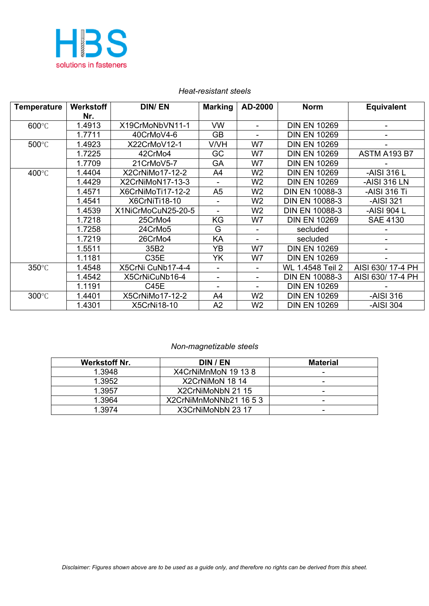

| <b>Temperature</b> | <b>Werkstoff</b> | <b>DIN/EN</b>      | <b>Marking</b> | AD-2000                  | <b>Norm</b>           | <b>Equivalent</b>   |
|--------------------|------------------|--------------------|----------------|--------------------------|-----------------------|---------------------|
|                    | Nr.              |                    |                |                          |                       |                     |
| 600°C              | 1.4913           | X19CrMoNbVN11-1    | <b>VW</b>      | $\sim$                   | <b>DIN EN 10269</b>   |                     |
|                    | 1.7711           | 40CrMoV4-6         | <b>GB</b>      |                          | <b>DIN EN 10269</b>   |                     |
| 500°C              | 1.4923           | X22CrMoV12-1       | V/VH           | W7                       | <b>DIN EN 10269</b>   |                     |
|                    | 1.7225           | 42CrMo4            | GC             | W7                       | <b>DIN EN 10269</b>   | <b>ASTM A193 B7</b> |
|                    | 1.7709           | 21CrMoV5-7         | GA             | W7                       | <b>DIN EN 10269</b>   |                     |
| 400°C              | 1.4404           | X2CrNiMo17-12-2    | A4             | W <sub>2</sub>           | <b>DIN EN 10269</b>   | -AISI 316 L         |
|                    | 1.4429           | X2CrNiMoN17-13-3   |                | W <sub>2</sub>           | <b>DIN EN 10269</b>   | -AISI 316 LN        |
|                    | 1.4571           | X6CrNiMoTi17-12-2  | A <sub>5</sub> | W <sub>2</sub>           | <b>DIN EN 10088-3</b> | -AISI 316 Ti        |
|                    | 1.4541           | X6CrNiTi18-10      |                | W <sub>2</sub>           | <b>DIN EN 10088-3</b> | -AISI 321           |
|                    | 1.4539           | X1NiCrMoCuN25-20-5 |                | W <sub>2</sub>           | <b>DIN EN 10088-3</b> | -AISI 904 L         |
|                    | 1.7218           | 25CrMo4            | KG             | W7                       | <b>DIN EN 10269</b>   | <b>SAE 4130</b>     |
|                    | 1.7258           | 24CrMo5            | G              |                          | secluded              |                     |
|                    | 1.7219           | 26CrMo4            | KA             | $\overline{\phantom{a}}$ | secluded              |                     |
|                    | 1.5511           | 35B2               | YB             | W7                       | <b>DIN EN 10269</b>   |                     |
|                    | 1.1181           | C35E               | YK             | W7                       | <b>DIN EN 10269</b>   |                     |
| 350°C              | 1.4548           | X5CrNi CuNb17-4-4  |                | $\blacksquare$           | WL 1.4548 Teil 2      | AISI 630/17-4 PH    |
|                    | 1.4542           | X5CrNiCuNb16-4     | ÷              | $\blacksquare$           | <b>DIN EN 10088-3</b> | AISI 630/17-4 PH    |
|                    | 1.1191           | C45E               |                |                          | <b>DIN EN 10269</b>   |                     |
| 300°C              | 1.4401           | X5CrNiMo17-12-2    | A4             | W <sub>2</sub>           | <b>DIN EN 10269</b>   | -AISI 316           |
|                    | 1.4301           | X5CrNi18-10        | A2             | W <sub>2</sub>           | <b>DIN EN 10269</b>   | -AISI 304           |

#### *Heat-resistant steels*

#### *Non-magnetizable steels*

| Werkstoff Nr. | DIN / EN               | <b>Material</b>          |
|---------------|------------------------|--------------------------|
| 1.3948        | X4CrNiMnMoN 19 13 8    | ۰                        |
| 1.3952        | X2CrNiMoN 18 14        | -                        |
| 1.3957        | X2CrNiMoNbN 21 15      | ۰                        |
| 1 3964        | X2CrNiMnMoNNb21 16 5 3 | -                        |
| 1.3974        | X3CrNiMoNbN 23 17      | $\overline{\phantom{0}}$ |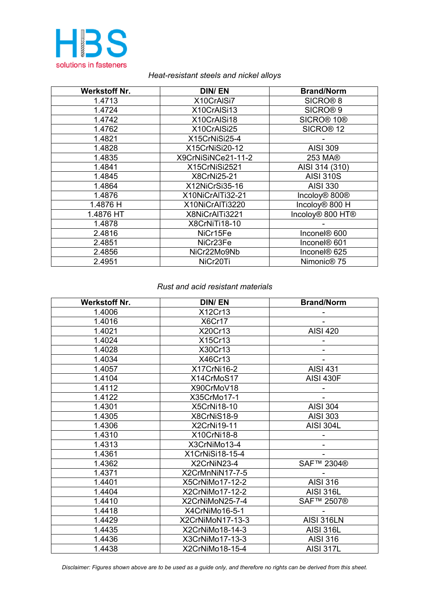

### *Heat-resistant steels and nickel alloys*

| <b>Werkstoff Nr.</b> | <b>DIN/EN</b>         | <b>Brand/Norm</b>                        |
|----------------------|-----------------------|------------------------------------------|
| 1.4713               | X10CrAISi7            | SICRO <sup>®</sup> 8                     |
| 1.4724               | X10CrAISi13           | SICRO <sup>®</sup> <sub>9</sub>          |
| 1.4742               | X10CrAISi18           | SICRO <sup>®</sup> 10 <sup>®</sup>       |
| 1.4762               | X10CrAISi25           | SICRO <sup>®</sup> 12                    |
| 1.4821               | X15CrNiSi25-4         |                                          |
| 1.4828               | X15CrNiSi20-12        | <b>AISI 309</b>                          |
| 1.4835               | X9CrNiSiNCe21-11-2    | 253 MA®                                  |
| 1.4841               | X15CrNiSi2521         | AISI 314 (310)                           |
| 1.4845               | X8CrNi25-21           | <b>AISI 310S</b>                         |
| 1.4864               | X12NiCrSi35-16        | <b>AISI 330</b>                          |
| 1.4876               | X10NiCrAlTi32-21      | Incoloy <sup>®</sup> 800 <sup>®</sup>    |
| 1.4876 H             | X10NiCrAlTi3220       | Incoloy <sup>®</sup> 800 H               |
| 1.4876 HT            | X8NiCrAlTi3221        | Incoloy <sup>®</sup> 800 HT <sup>®</sup> |
| 1.4878               | X8CrNiTi18-10         |                                          |
| 2.4816               | NiCr15Fe              | Inconel <sup>®</sup> 600                 |
| 2.4851               | NiCr <sub>23Fe</sub>  | Inconel® 601                             |
| 2.4856               | NiCr22Mo9Nb           | Inconel® 625                             |
| 2.4951               | NiCr <sub>20</sub> Ti | Nimonic <sup>®</sup> 75                  |

#### *Rust and acid resistant materials*

| <b>Werkstoff Nr.</b> | <b>DIN/EN</b>    | <b>Brand/Norm</b> |
|----------------------|------------------|-------------------|
| 1.4006               | X12Cr13          |                   |
| 1.4016               | X6Cr17           |                   |
| 1.4021               | X20Cr13          | <b>AISI 420</b>   |
| 1.4024               | X15Cr13          |                   |
| 1.4028               | X30Cr13          |                   |
| 1.4034               | X46Cr13          |                   |
| 1.4057               | X17CrNi16-2      | <b>AISI 431</b>   |
| 1.4104               | X14CrMoS17       | <b>AISI 430F</b>  |
| 1.4112               | X90CrMoV18       |                   |
| 1.4122               | X35CrMo17-1      |                   |
| 1.4301               | X5CrNi18-10      | <b>AISI 304</b>   |
| 1.4305               | X8CrNiS18-9      | <b>AISI 303</b>   |
| 1.4306               | X2CrNi19-11      | <b>AISI 304L</b>  |
| 1.4310               | X10CrNi18-8      |                   |
| 1.4313               | X3CrNiMo13-4     |                   |
| 1.4361               | X1CrNiSi18-15-4  |                   |
| 1.4362               | X2CrNiN23-4      | SAF™ 2304®        |
| 1.4371               | X2CrMnNiN17-7-5  |                   |
| 1.4401               | X5CrNiMo17-12-2  | <b>AISI 316</b>   |
| 1.4404               | X2CrNiMo17-12-2  | <b>AISI 316L</b>  |
| 1.4410               | X2CrNiMoN25-7-4  | SAF™ 2507®        |
| 1.4418               | X4CrNiMo16-5-1   |                   |
| 1.4429               | X2CrNiMoN17-13-3 | <b>AISI 316LN</b> |
| 1.4435               | X2CrNiMo18-14-3  | <b>AISI 316L</b>  |
| 1.4436               | X3CrNiMo17-13-3  | <b>AISI 316</b>   |
| 1.4438               | X2CrNiMo18-15-4  | <b>AISI 317L</b>  |

*Disclaimer: Figures shown above are to be used as a guide only, and therefore no rights can be derived from this sheet.*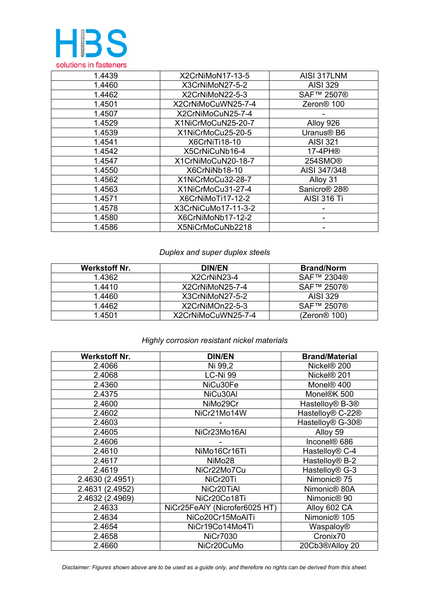

| 1.4439 | X2CrNiMoN17-13-5    | AISI 317LNM                          |
|--------|---------------------|--------------------------------------|
| 1.4460 | X3CrNiMoN27-5-2     | <b>AISI 329</b>                      |
| 1.4462 | X2CrNiMoN22-5-3     | SAF™ 2507®                           |
| 1.4501 | X2CrNiMoCuWN25-7-4  | Zeron <sup>®</sup> 100               |
| 1.4507 | X2CrNiMoCuN25-7-4   |                                      |
| 1.4529 | X1NiCrMoCuN25-20-7  | Alloy 926                            |
| 1.4539 | X1NiCrMoCu25-20-5   | Uranus <sup>®</sup> B6               |
| 1.4541 | X6CrNiTi18-10       | <b>AISI 321</b>                      |
| 1.4542 | X5CrNiCuNb16-4      | 17-4PH®                              |
| 1.4547 | X1CrNiMoCuN20-18-7  | 254SMO <sup>®</sup>                  |
| 1.4550 | X6CrNiNb18-10       | AISI 347/348                         |
| 1.4562 | X1NiCrMoCu32-28-7   | Alloy 31                             |
| 1.4563 | X1NiCrMoCu31-27-4   | Sanicro <sup>®</sup> 28 <sup>®</sup> |
| 1.4571 | X6CrNiMoTi17-12-2   | <b>AISI 316 Ti</b>                   |
| 1.4578 | X3CrNiCuMo17-11-3-2 |                                      |
| 1.4580 | X6CrNiMoNb17-12-2   |                                      |
| 1.4586 | X5NiCrMoCuNb2218    |                                      |

# *Duplex and super duplex steels*

| Werkstoff Nr. | <b>DIN/EN</b>      | <b>Brand/Norm</b> |
|---------------|--------------------|-------------------|
| 1.4362        | X2CrNiN23-4        | SAF™ 2304®        |
| 1.4410        | X2CrNiMoN25-7-4    | SAF™ 2507®        |
| 1.4460        | X3CrNiMoN27-5-2    | AISI 329          |
| 1.4462        | X2CrNiMOn22-5-3    | SAF™ 2507®        |
| 1.4501        | X2CrNiMoCuWN25-7-4 | (Zeron@ 100)      |

## *Highly corrosion resistant nickel materials*

| <b>Werkstoff Nr.</b> | <b>DIN/EN</b>                 | <b>Brand/Material</b>                    |
|----------------------|-------------------------------|------------------------------------------|
| 2.4066               | Ni 99,2                       | Nickel <sup>®</sup> 200                  |
| 2.4068               | LC-Ni 99                      | Nickel <sup>®</sup> 201                  |
| 2.4360               | NiCu30Fe                      | Monel <sup>®</sup> 400                   |
| 2.4375               | NiCu30Al                      | Monel®K 500                              |
| 2.4600               | NiMo29Cr                      | Hastelloy <sup>®</sup> B-3 <sup>®</sup>  |
| 2.4602               | NiCr21Mo14W                   | Hastelloy <sup>®</sup> C-22 <sup>®</sup> |
| 2.4603               |                               | Hastelloy <sup>®</sup> G-30 <sup>®</sup> |
| 2.4605               | NiCr23Mo16AI                  | Alloy 59                                 |
| 2.4606               |                               | Inconel <sup>®</sup> 686                 |
| 2.4610               | NiMo16Cr16Ti                  | Hastelloy <sup>®</sup> C-4               |
| 2.4617               | NiMo28                        | Hastelloy <sup>®</sup> B-2               |
| 2.4619               | NiCr22Mo7Cu                   | Hastelloy <sup>®</sup> G-3               |
| 2.4630 (2.4951)      | NiCr20Ti                      | Nimonic <sup>®</sup> 75                  |
| 2.4631 (2.4952)      | NiCr20TiAl                    | Nimonic <sup>®</sup> 80A                 |
| 2.4632 (2.4969)      | NiCr20Co18Ti                  | Nimonic <sup>®</sup> 90                  |
| 2.4633               | NiCr25FeAIY (Nicrofer6025 HT) | Alloy 602 CA                             |
| 2.4634               | NiCo20Cr15MoAlTi              | Nimonic <sup>®</sup> 105                 |
| 2.4654               | NiCr19Co14Mo4Ti               | Waspaloy®                                |
| 2.4658               | <b>NiCr7030</b>               | Cronix70                                 |
| 2.4660               | NiCr20CuMo                    | 20Cb3®/Alloy 20                          |

*Disclaimer: Figures shown above are to be used as a guide only, and therefore no rights can be derived from this sheet.*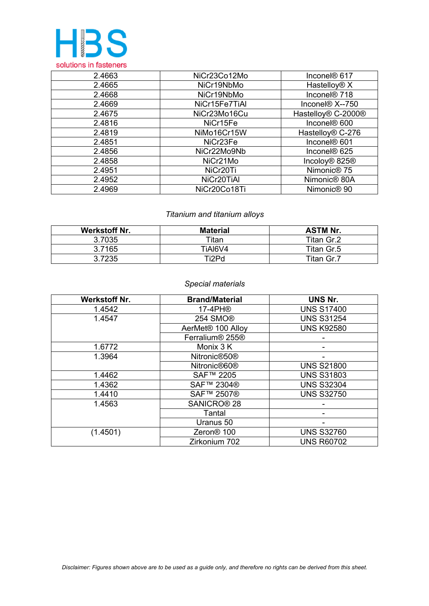

| 2.4663 | NiCr23Co12Mo          | Inconel <sup>®</sup> 617              |
|--------|-----------------------|---------------------------------------|
| 2.4665 | NiCr19NbMo            | Hastelloy <sup>®</sup> X              |
| 2.4668 | NiCr19NbMo            | Inconel <sup>®</sup> 718              |
| 2.4669 | NiCr15Fe7TiAl         | Inconel <sup>®</sup> X--750           |
| 2.4675 | NiCr23Mo16Cu          | Hastelloy® C-2000®                    |
| 2.4816 | NiCr15Fe              | Inconel <sup>®</sup> 600              |
| 2.4819 | NiMo16Cr15W           | Hastelloy <sup>®</sup> C-276          |
| 2.4851 | NiCr <sub>23Fe</sub>  | Inconel <sup>®</sup> 601              |
| 2.4856 | NiCr22Mo9Nb           | Inconel <sup>®</sup> 625              |
| 2.4858 | NiCr <sub>21</sub> Mo | Incoloy <sup>®</sup> 825 <sup>®</sup> |
| 2.4951 | NiCr <sub>20</sub> Ti | Nimonic <sup>®</sup> 75               |
| 2.4952 | NiCr20TiAl            | Nimonic <sup>®</sup> 80A              |
| 2.4969 | NiCr20Co18Ti          | Nimonic <sup>®</sup> 90               |

## *Titanium and titanium alloys*

| <b>Werkstoff Nr.</b> | <b>Material</b> | <b>ASTM Nr.</b> |
|----------------------|-----------------|-----------------|
| 3.7035               | Titan           | Titan Gr.2      |
| 3.7165               | TIAI6V4         | Titan Gr.5      |
| 3.7235               | Ti2Pd           | Titan Gr.7      |

## *Special materials*

| <b>Werkstoff Nr.</b> | <b>Brand/Material</b>                   | UNS Nr.           |
|----------------------|-----------------------------------------|-------------------|
| 1.4542               | 17-4PH®                                 | <b>UNS S17400</b> |
| 1.4547               | 254 SMO <sup>®</sup>                    | <b>UNS S31254</b> |
|                      | AerMet <sup>®</sup> 100 Alloy           | <b>UNS K92580</b> |
|                      | Ferralium <sup>®</sup> 255 <sup>®</sup> |                   |
| 1.6772               | Monix 3 K                               |                   |
| 1.3964               | Nitronic <sup>®50</sup> ®               |                   |
|                      | Nitronic <sup>®60®</sup>                | <b>UNS S21800</b> |
| 1.4462               | SAF™ 2205                               | <b>UNS S31803</b> |
| 1.4362               | SAF™ 2304®                              | <b>UNS S32304</b> |
| 1.4410               | SAF™ 2507®                              | <b>UNS S32750</b> |
| 1.4563               | SANICRO <sup>®</sup> 28                 |                   |
|                      | Tantal                                  |                   |
|                      | Uranus 50                               |                   |
| (1.4501)             | Zeron <sup>®</sup> 100                  | <b>UNS S32760</b> |
|                      | Zirkonium 702                           | <b>UNS R60702</b> |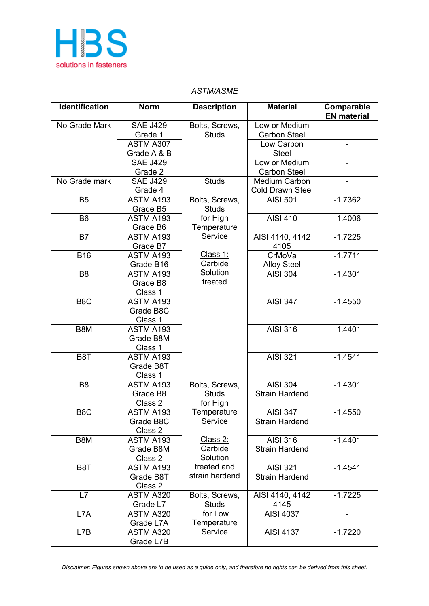

## *ASTM/ASME*

| Low or Medium<br>No Grade Mark<br><b>SAE J429</b><br>Bolts, Screws,<br><b>Carbon Steel</b><br>Grade 1<br><b>Studs</b><br>ASTM A307<br>Low Carbon<br>Grade A & B<br><b>Steel</b><br><b>SAE J429</b><br>Low or Medium<br>Grade 2<br><b>Carbon Steel</b><br><b>SAE J429</b><br>No Grade mark<br><b>Studs</b><br>Medium Carbon<br>Grade 4<br><b>Cold Drawn Steel</b><br>$-1.7362$<br>B <sub>5</sub><br>ASTM A193<br><b>AISI 501</b><br>Bolts, Screws,<br>Grade B5<br><b>Studs</b><br>ASTM A193<br><b>AISI 410</b><br>$-1.4006$<br>B <sub>6</sub><br>for High<br>Grade B6<br>Temperature<br>Service<br>$-1.7225$<br>B7<br>AISI 4140, 4142<br>ASTM A193<br>Grade B7<br>4105<br>Class 1:<br>$-1.7711$<br><b>B16</b><br>ASTM A193<br>CrMoVa<br>Carbide<br>Grade B16<br><b>Alloy Steel</b><br>Solution<br>$-1.4301$<br>B <sub>8</sub><br>ASTM A193<br><b>AISI 304</b><br>treated<br>Grade B8<br>Class 1<br>B <sub>8</sub> C<br><b>AISI 347</b><br>ASTM A193<br>$-1.4550$<br>Grade B8C<br>Class 1<br><b>AISI 316</b><br>$-1.4401$<br>B8M<br>ASTM A193<br>Grade B8M<br>Class 1<br><b>AISI 321</b><br>ASTM A193<br>$-1.4541$<br>B <sub>8</sub> T<br>Grade B8T<br>Class 1<br><b>AISI 304</b><br>$-1.4301$<br>ASTM A193<br>B <sub>8</sub><br>Bolts, Screws,<br><b>Strain Hardend</b><br>Grade B8<br><b>Studs</b><br>Class 2<br>for High<br><b>AISI 347</b><br>B <sub>8</sub> C<br>ASTM A193<br>Temperature<br>$-1.4550$<br>Service<br><b>Strain Hardend</b><br>Grade B8C<br>Class 2<br>Class 2:<br><b>AISI 316</b><br>$-1.4401$<br>B8M<br>ASTM A193<br>Carbide<br>Grade B8M<br><b>Strain Hardend</b><br>Solution<br>Class 2<br>treated and<br><b>AISI 321</b><br>$-1.4541$<br>B <sub>8</sub> T<br>ASTM A193<br>strain hardend<br>Grade B8T<br><b>Strain Hardend</b><br>Class 2<br>AISI 4140, 4142<br>L7<br>Bolts, Screws,<br>$-1.7225$<br>ASTM A320<br><b>Studs</b><br>Grade L7<br>4145<br><b>AISI 4037</b><br>L7A<br>for Low<br>ASTM A320<br>Temperature<br>Grade L7A<br>Service<br><b>AISI 4137</b><br>$-1.7220$<br>L7B<br>ASTM A320 | identification | <b>Norm</b> | <b>Description</b> | <b>Material</b> | Comparable<br><b>EN</b> material |
|--------------------------------------------------------------------------------------------------------------------------------------------------------------------------------------------------------------------------------------------------------------------------------------------------------------------------------------------------------------------------------------------------------------------------------------------------------------------------------------------------------------------------------------------------------------------------------------------------------------------------------------------------------------------------------------------------------------------------------------------------------------------------------------------------------------------------------------------------------------------------------------------------------------------------------------------------------------------------------------------------------------------------------------------------------------------------------------------------------------------------------------------------------------------------------------------------------------------------------------------------------------------------------------------------------------------------------------------------------------------------------------------------------------------------------------------------------------------------------------------------------------------------------------------------------------------------------------------------------------------------------------------------------------------------------------------------------------------------------------------------------------------------------------------------------------------------------------------------------------------------------------------------------------------------------------------------------------------------------------------------------------------------|----------------|-------------|--------------------|-----------------|----------------------------------|
|                                                                                                                                                                                                                                                                                                                                                                                                                                                                                                                                                                                                                                                                                                                                                                                                                                                                                                                                                                                                                                                                                                                                                                                                                                                                                                                                                                                                                                                                                                                                                                                                                                                                                                                                                                                                                                                                                                                                                                                                                          |                |             |                    |                 |                                  |
|                                                                                                                                                                                                                                                                                                                                                                                                                                                                                                                                                                                                                                                                                                                                                                                                                                                                                                                                                                                                                                                                                                                                                                                                                                                                                                                                                                                                                                                                                                                                                                                                                                                                                                                                                                                                                                                                                                                                                                                                                          |                |             |                    |                 |                                  |
|                                                                                                                                                                                                                                                                                                                                                                                                                                                                                                                                                                                                                                                                                                                                                                                                                                                                                                                                                                                                                                                                                                                                                                                                                                                                                                                                                                                                                                                                                                                                                                                                                                                                                                                                                                                                                                                                                                                                                                                                                          |                |             |                    |                 |                                  |
|                                                                                                                                                                                                                                                                                                                                                                                                                                                                                                                                                                                                                                                                                                                                                                                                                                                                                                                                                                                                                                                                                                                                                                                                                                                                                                                                                                                                                                                                                                                                                                                                                                                                                                                                                                                                                                                                                                                                                                                                                          |                |             |                    |                 |                                  |
|                                                                                                                                                                                                                                                                                                                                                                                                                                                                                                                                                                                                                                                                                                                                                                                                                                                                                                                                                                                                                                                                                                                                                                                                                                                                                                                                                                                                                                                                                                                                                                                                                                                                                                                                                                                                                                                                                                                                                                                                                          |                |             |                    |                 |                                  |
|                                                                                                                                                                                                                                                                                                                                                                                                                                                                                                                                                                                                                                                                                                                                                                                                                                                                                                                                                                                                                                                                                                                                                                                                                                                                                                                                                                                                                                                                                                                                                                                                                                                                                                                                                                                                                                                                                                                                                                                                                          |                |             |                    |                 |                                  |
|                                                                                                                                                                                                                                                                                                                                                                                                                                                                                                                                                                                                                                                                                                                                                                                                                                                                                                                                                                                                                                                                                                                                                                                                                                                                                                                                                                                                                                                                                                                                                                                                                                                                                                                                                                                                                                                                                                                                                                                                                          |                |             |                    |                 |                                  |
|                                                                                                                                                                                                                                                                                                                                                                                                                                                                                                                                                                                                                                                                                                                                                                                                                                                                                                                                                                                                                                                                                                                                                                                                                                                                                                                                                                                                                                                                                                                                                                                                                                                                                                                                                                                                                                                                                                                                                                                                                          |                |             |                    |                 |                                  |
|                                                                                                                                                                                                                                                                                                                                                                                                                                                                                                                                                                                                                                                                                                                                                                                                                                                                                                                                                                                                                                                                                                                                                                                                                                                                                                                                                                                                                                                                                                                                                                                                                                                                                                                                                                                                                                                                                                                                                                                                                          |                |             |                    |                 |                                  |
|                                                                                                                                                                                                                                                                                                                                                                                                                                                                                                                                                                                                                                                                                                                                                                                                                                                                                                                                                                                                                                                                                                                                                                                                                                                                                                                                                                                                                                                                                                                                                                                                                                                                                                                                                                                                                                                                                                                                                                                                                          |                |             |                    |                 |                                  |
|                                                                                                                                                                                                                                                                                                                                                                                                                                                                                                                                                                                                                                                                                                                                                                                                                                                                                                                                                                                                                                                                                                                                                                                                                                                                                                                                                                                                                                                                                                                                                                                                                                                                                                                                                                                                                                                                                                                                                                                                                          |                |             |                    |                 |                                  |
|                                                                                                                                                                                                                                                                                                                                                                                                                                                                                                                                                                                                                                                                                                                                                                                                                                                                                                                                                                                                                                                                                                                                                                                                                                                                                                                                                                                                                                                                                                                                                                                                                                                                                                                                                                                                                                                                                                                                                                                                                          |                |             |                    |                 |                                  |
|                                                                                                                                                                                                                                                                                                                                                                                                                                                                                                                                                                                                                                                                                                                                                                                                                                                                                                                                                                                                                                                                                                                                                                                                                                                                                                                                                                                                                                                                                                                                                                                                                                                                                                                                                                                                                                                                                                                                                                                                                          |                |             |                    |                 |                                  |
|                                                                                                                                                                                                                                                                                                                                                                                                                                                                                                                                                                                                                                                                                                                                                                                                                                                                                                                                                                                                                                                                                                                                                                                                                                                                                                                                                                                                                                                                                                                                                                                                                                                                                                                                                                                                                                                                                                                                                                                                                          |                |             |                    |                 |                                  |
|                                                                                                                                                                                                                                                                                                                                                                                                                                                                                                                                                                                                                                                                                                                                                                                                                                                                                                                                                                                                                                                                                                                                                                                                                                                                                                                                                                                                                                                                                                                                                                                                                                                                                                                                                                                                                                                                                                                                                                                                                          |                |             |                    |                 |                                  |
|                                                                                                                                                                                                                                                                                                                                                                                                                                                                                                                                                                                                                                                                                                                                                                                                                                                                                                                                                                                                                                                                                                                                                                                                                                                                                                                                                                                                                                                                                                                                                                                                                                                                                                                                                                                                                                                                                                                                                                                                                          |                |             |                    |                 |                                  |
|                                                                                                                                                                                                                                                                                                                                                                                                                                                                                                                                                                                                                                                                                                                                                                                                                                                                                                                                                                                                                                                                                                                                                                                                                                                                                                                                                                                                                                                                                                                                                                                                                                                                                                                                                                                                                                                                                                                                                                                                                          |                |             |                    |                 |                                  |
|                                                                                                                                                                                                                                                                                                                                                                                                                                                                                                                                                                                                                                                                                                                                                                                                                                                                                                                                                                                                                                                                                                                                                                                                                                                                                                                                                                                                                                                                                                                                                                                                                                                                                                                                                                                                                                                                                                                                                                                                                          |                |             |                    |                 |                                  |
|                                                                                                                                                                                                                                                                                                                                                                                                                                                                                                                                                                                                                                                                                                                                                                                                                                                                                                                                                                                                                                                                                                                                                                                                                                                                                                                                                                                                                                                                                                                                                                                                                                                                                                                                                                                                                                                                                                                                                                                                                          |                |             |                    |                 |                                  |
|                                                                                                                                                                                                                                                                                                                                                                                                                                                                                                                                                                                                                                                                                                                                                                                                                                                                                                                                                                                                                                                                                                                                                                                                                                                                                                                                                                                                                                                                                                                                                                                                                                                                                                                                                                                                                                                                                                                                                                                                                          |                |             |                    |                 |                                  |
|                                                                                                                                                                                                                                                                                                                                                                                                                                                                                                                                                                                                                                                                                                                                                                                                                                                                                                                                                                                                                                                                                                                                                                                                                                                                                                                                                                                                                                                                                                                                                                                                                                                                                                                                                                                                                                                                                                                                                                                                                          |                |             |                    |                 |                                  |
|                                                                                                                                                                                                                                                                                                                                                                                                                                                                                                                                                                                                                                                                                                                                                                                                                                                                                                                                                                                                                                                                                                                                                                                                                                                                                                                                                                                                                                                                                                                                                                                                                                                                                                                                                                                                                                                                                                                                                                                                                          |                |             |                    |                 |                                  |
|                                                                                                                                                                                                                                                                                                                                                                                                                                                                                                                                                                                                                                                                                                                                                                                                                                                                                                                                                                                                                                                                                                                                                                                                                                                                                                                                                                                                                                                                                                                                                                                                                                                                                                                                                                                                                                                                                                                                                                                                                          |                |             |                    |                 |                                  |
|                                                                                                                                                                                                                                                                                                                                                                                                                                                                                                                                                                                                                                                                                                                                                                                                                                                                                                                                                                                                                                                                                                                                                                                                                                                                                                                                                                                                                                                                                                                                                                                                                                                                                                                                                                                                                                                                                                                                                                                                                          |                |             |                    |                 |                                  |
|                                                                                                                                                                                                                                                                                                                                                                                                                                                                                                                                                                                                                                                                                                                                                                                                                                                                                                                                                                                                                                                                                                                                                                                                                                                                                                                                                                                                                                                                                                                                                                                                                                                                                                                                                                                                                                                                                                                                                                                                                          |                |             |                    |                 |                                  |
|                                                                                                                                                                                                                                                                                                                                                                                                                                                                                                                                                                                                                                                                                                                                                                                                                                                                                                                                                                                                                                                                                                                                                                                                                                                                                                                                                                                                                                                                                                                                                                                                                                                                                                                                                                                                                                                                                                                                                                                                                          |                |             |                    |                 |                                  |
|                                                                                                                                                                                                                                                                                                                                                                                                                                                                                                                                                                                                                                                                                                                                                                                                                                                                                                                                                                                                                                                                                                                                                                                                                                                                                                                                                                                                                                                                                                                                                                                                                                                                                                                                                                                                                                                                                                                                                                                                                          |                |             |                    |                 |                                  |
|                                                                                                                                                                                                                                                                                                                                                                                                                                                                                                                                                                                                                                                                                                                                                                                                                                                                                                                                                                                                                                                                                                                                                                                                                                                                                                                                                                                                                                                                                                                                                                                                                                                                                                                                                                                                                                                                                                                                                                                                                          |                |             |                    |                 |                                  |
|                                                                                                                                                                                                                                                                                                                                                                                                                                                                                                                                                                                                                                                                                                                                                                                                                                                                                                                                                                                                                                                                                                                                                                                                                                                                                                                                                                                                                                                                                                                                                                                                                                                                                                                                                                                                                                                                                                                                                                                                                          |                |             |                    |                 |                                  |
|                                                                                                                                                                                                                                                                                                                                                                                                                                                                                                                                                                                                                                                                                                                                                                                                                                                                                                                                                                                                                                                                                                                                                                                                                                                                                                                                                                                                                                                                                                                                                                                                                                                                                                                                                                                                                                                                                                                                                                                                                          |                |             |                    |                 |                                  |
|                                                                                                                                                                                                                                                                                                                                                                                                                                                                                                                                                                                                                                                                                                                                                                                                                                                                                                                                                                                                                                                                                                                                                                                                                                                                                                                                                                                                                                                                                                                                                                                                                                                                                                                                                                                                                                                                                                                                                                                                                          |                |             |                    |                 |                                  |
|                                                                                                                                                                                                                                                                                                                                                                                                                                                                                                                                                                                                                                                                                                                                                                                                                                                                                                                                                                                                                                                                                                                                                                                                                                                                                                                                                                                                                                                                                                                                                                                                                                                                                                                                                                                                                                                                                                                                                                                                                          |                |             |                    |                 |                                  |
|                                                                                                                                                                                                                                                                                                                                                                                                                                                                                                                                                                                                                                                                                                                                                                                                                                                                                                                                                                                                                                                                                                                                                                                                                                                                                                                                                                                                                                                                                                                                                                                                                                                                                                                                                                                                                                                                                                                                                                                                                          |                |             |                    |                 |                                  |
|                                                                                                                                                                                                                                                                                                                                                                                                                                                                                                                                                                                                                                                                                                                                                                                                                                                                                                                                                                                                                                                                                                                                                                                                                                                                                                                                                                                                                                                                                                                                                                                                                                                                                                                                                                                                                                                                                                                                                                                                                          |                |             |                    |                 |                                  |
|                                                                                                                                                                                                                                                                                                                                                                                                                                                                                                                                                                                                                                                                                                                                                                                                                                                                                                                                                                                                                                                                                                                                                                                                                                                                                                                                                                                                                                                                                                                                                                                                                                                                                                                                                                                                                                                                                                                                                                                                                          |                |             |                    |                 |                                  |
|                                                                                                                                                                                                                                                                                                                                                                                                                                                                                                                                                                                                                                                                                                                                                                                                                                                                                                                                                                                                                                                                                                                                                                                                                                                                                                                                                                                                                                                                                                                                                                                                                                                                                                                                                                                                                                                                                                                                                                                                                          |                |             |                    |                 |                                  |
|                                                                                                                                                                                                                                                                                                                                                                                                                                                                                                                                                                                                                                                                                                                                                                                                                                                                                                                                                                                                                                                                                                                                                                                                                                                                                                                                                                                                                                                                                                                                                                                                                                                                                                                                                                                                                                                                                                                                                                                                                          |                |             |                    |                 |                                  |
|                                                                                                                                                                                                                                                                                                                                                                                                                                                                                                                                                                                                                                                                                                                                                                                                                                                                                                                                                                                                                                                                                                                                                                                                                                                                                                                                                                                                                                                                                                                                                                                                                                                                                                                                                                                                                                                                                                                                                                                                                          |                |             |                    |                 |                                  |
|                                                                                                                                                                                                                                                                                                                                                                                                                                                                                                                                                                                                                                                                                                                                                                                                                                                                                                                                                                                                                                                                                                                                                                                                                                                                                                                                                                                                                                                                                                                                                                                                                                                                                                                                                                                                                                                                                                                                                                                                                          |                |             |                    |                 |                                  |
|                                                                                                                                                                                                                                                                                                                                                                                                                                                                                                                                                                                                                                                                                                                                                                                                                                                                                                                                                                                                                                                                                                                                                                                                                                                                                                                                                                                                                                                                                                                                                                                                                                                                                                                                                                                                                                                                                                                                                                                                                          |                |             |                    |                 |                                  |
|                                                                                                                                                                                                                                                                                                                                                                                                                                                                                                                                                                                                                                                                                                                                                                                                                                                                                                                                                                                                                                                                                                                                                                                                                                                                                                                                                                                                                                                                                                                                                                                                                                                                                                                                                                                                                                                                                                                                                                                                                          |                |             |                    |                 |                                  |
|                                                                                                                                                                                                                                                                                                                                                                                                                                                                                                                                                                                                                                                                                                                                                                                                                                                                                                                                                                                                                                                                                                                                                                                                                                                                                                                                                                                                                                                                                                                                                                                                                                                                                                                                                                                                                                                                                                                                                                                                                          |                |             |                    |                 |                                  |
|                                                                                                                                                                                                                                                                                                                                                                                                                                                                                                                                                                                                                                                                                                                                                                                                                                                                                                                                                                                                                                                                                                                                                                                                                                                                                                                                                                                                                                                                                                                                                                                                                                                                                                                                                                                                                                                                                                                                                                                                                          |                |             |                    |                 |                                  |
|                                                                                                                                                                                                                                                                                                                                                                                                                                                                                                                                                                                                                                                                                                                                                                                                                                                                                                                                                                                                                                                                                                                                                                                                                                                                                                                                                                                                                                                                                                                                                                                                                                                                                                                                                                                                                                                                                                                                                                                                                          |                |             |                    |                 |                                  |
|                                                                                                                                                                                                                                                                                                                                                                                                                                                                                                                                                                                                                                                                                                                                                                                                                                                                                                                                                                                                                                                                                                                                                                                                                                                                                                                                                                                                                                                                                                                                                                                                                                                                                                                                                                                                                                                                                                                                                                                                                          |                | Grade L7B   |                    |                 |                                  |

*Disclaimer: Figures shown above are to be used as a guide only, and therefore no rights can be derived from this sheet.*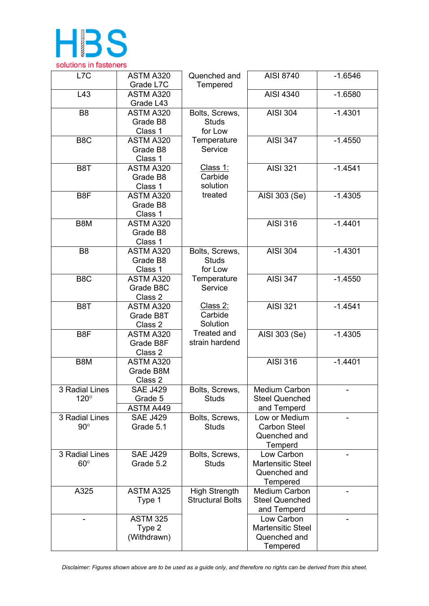

| L7C                           | ASTM A320<br>Grade L7C                   | Quenched and<br>Tempered                        | AISI 8740                                                          | $-1.6546$ |
|-------------------------------|------------------------------------------|-------------------------------------------------|--------------------------------------------------------------------|-----------|
| L43                           | ASTM A320<br>Grade L43                   |                                                 | AISI 4340                                                          | $-1.6580$ |
| B <sub>8</sub>                | ASTM A320<br>Grade B8<br>Class 1         | Bolts, Screws,<br><b>Studs</b><br>for Low       | <b>AISI 304</b>                                                    | $-1.4301$ |
| B <sub>8</sub> C              | ASTM A320<br>Grade B8<br>Class 1         | Temperature<br>Service                          | <b>AISI 347</b>                                                    | $-1.4550$ |
| B <sub>8</sub> T              | ASTM A320<br>Grade B8<br>Class 1         | Class 1:<br>Carbide<br>solution                 | <b>AISI 321</b>                                                    | $-1.4541$ |
| B8F                           | ASTM A320<br>Grade B8<br>Class 1         | treated                                         | AISI 303 (Se)                                                      | $-1.4305$ |
| B8M                           | ASTM A320<br>Grade B8<br>Class 1         |                                                 | <b>AISI 316</b>                                                    | $-1.4401$ |
| B <sub>8</sub>                | ASTM A320<br>Grade B8<br>Class 1         | Bolts, Screws,<br><b>Studs</b><br>for Low       | <b>AISI 304</b>                                                    | $-1.4301$ |
| B <sub>8</sub> C              | ASTM A320<br>Grade B8C<br>Class 2        | Temperature<br>Service                          | <b>AISI 347</b>                                                    | $-1.4550$ |
| B <sub>8</sub> T              | ASTM A320<br>Grade B8T<br>Class 2        | Class 2:<br>Carbide<br>Solution                 | <b>AISI 321</b>                                                    | $-1.4541$ |
| B8F                           | ASTM A320<br>Grade B8F<br>Class 2        | <b>Treated and</b><br>strain hardend            | AISI 303 (Se)                                                      | $-1.4305$ |
| B8M                           | ASTM A320<br>Grade B8M<br>Class 2        |                                                 | <b>AISI 316</b>                                                    | $-1.4401$ |
| 3 Radial Lines<br>$120^\circ$ | <b>SAE J429</b><br>Grade 5<br>ASTM A449  | Bolts, Screws,<br><b>Studs</b>                  | Medium Carbon<br><b>Steel Quenched</b><br>and Temperd              |           |
| 3 Radial Lines<br>$90^\circ$  | <b>SAE J429</b><br>Grade 5.1             | Bolts, Screws,<br><b>Studs</b>                  | Low or Medium<br><b>Carbon Steel</b><br>Quenched and<br>Temperd    |           |
| 3 Radial Lines<br>$60^\circ$  | <b>SAE J429</b><br>Grade 5.2             | Bolts, Screws,<br><b>Studs</b>                  | Low Carbon<br><b>Martensitic Steel</b><br>Quenched and<br>Tempered |           |
| A325                          | ASTM A325<br>Type 1                      | <b>High Strength</b><br><b>Structural Bolts</b> | <b>Medium Carbon</b><br><b>Steel Quenched</b><br>and Temperd       |           |
|                               | <b>ASTM 325</b><br>Type 2<br>(Withdrawn) |                                                 | Low Carbon<br><b>Martensitic Steel</b><br>Quenched and<br>Tempered |           |